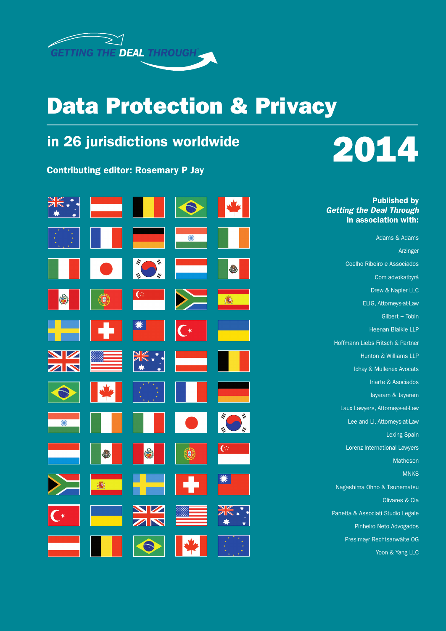

## Data Protection & Privacy

### in 26 jurisdictions worldwide

Contributing editor: Rosemary P Jay

| XK .<br>₩<br>*        |             |                                                             |                       | <b>V</b>                               |
|-----------------------|-------------|-------------------------------------------------------------|-----------------------|----------------------------------------|
|                       |             |                                                             | $\overline{\bigcirc}$ |                                        |
|                       |             | $\overline{\psi}$<br>ルール<br>$\frac{\partial f}{\partial t}$ |                       | E                                      |
| (e)                   | $\bigcirc$  | $\overline{G}$                                              |                       | 高                                      |
|                       |             | ☀                                                           | $\mathsf{C}^\star$    |                                        |
| N                     |             | $\begin{array}{c}\n\ast \\ \ast \\ \ast\n\end{array}$       |                       |                                        |
|                       |             |                                                             |                       |                                        |
| $\overline{\bigcirc}$ |             |                                                             |                       | $\overline{\psi}$<br>111<br>'iii<br>W, |
|                       | <b>CALL</b> | $\mathbf{G}$                                                | $\bigcirc$            | $\overline{C}$                         |
|                       | 壽           |                                                             |                       | ☀                                      |
| $\Gamma^*$            |             | N                                                           |                       | "<br>*                                 |
|                       |             |                                                             |                       |                                        |



Published by *Getting the Deal Through* in association with:

Adams & Adams Arzinger Coelho Ribeiro e Associados Com advokatbyrå Drew & Napier LLC ELIG, Attorneys-at-Law Gilbert + Tobin Heenan Blaikie LLP Hoffmann Liebs Fritsch & Partner Hunton & Williams LLP Ichay & Mullenex Avocats Iriarte & Asociados Jayaram & Jayaram Laux Lawyers, Attorneys-at-Law Lee and Li, Attorneys-at-Law Lexing Spain Lorenz International Lawyers Matheson **MNKS** Nagashima Ohno & Tsunematsu Olivares & Cia Panetta & Associati Studio Legale Pinheiro Neto Advogados Preslmayr Rechtsanwälte OG

Yoon & Yang LLC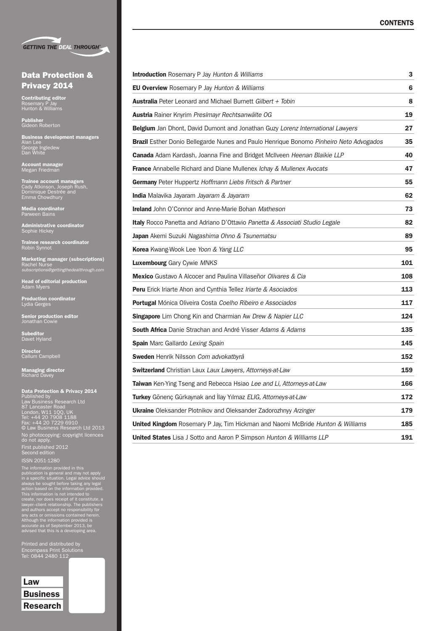|  | <b>GETTING THE DEAL THROUGH®</b> |
|--|----------------------------------|

### Data Protection & Privacy 2014

**Contributing editor**<br>Rosemary P Jay<br>Hunton & Williams

Publisher Gideon Roberton

**Business development managers<br>Alan Lee<br>George Ingledew<br>Dan White** 

Account manager Megan Friedman

**Trainee account managers**<br>Cady Atkinson, Joseph Rush,<br>Dominique Destrée and<br>Emma Chowdhury

Media coordinator Parween Bains

**Administrative coordinator**<br>Sophie Hickey

**Trainee research coordinator**<br>Robin Synnot

Marketing manager (subscriptions) Rachel Nurse *subscriptions@gettingthedealthrough.com*

**Head of editorial production**<br>Adam Myers

Production coordinator<br>Lydia Gerges

Senior production editor Jonathan Cowie

Subeditor<br>Davet Hyland

**Director**<br>Callum Campbell

**Managing director**<br>Richard Davey

Data Protection & Privacy 2014<br>
Published by<br>Law Business Research Ltd<br>87 Lancaster Road<br>
London, W11 1QQ, UK<br>Tel: +44 20 7229 1188<br>
Tel: +44 20 7229 6910<br>© Law Business Research Ltd 2013 No photocopying: copyright licences do not apply. First published 2012 Second edition

The information provided in this<br>publication is general and may not apply<br>in a specific situation. Legal advice should<br>always be sought before taking any legal<br>action based on the information provided.<br>This information is

Printed and distributed by Encompass Print Solutions Tel: 0844 2480 112



| <b>Introduction</b> Rosemary P Jay Hunton & Williams                                   | 3   |
|----------------------------------------------------------------------------------------|-----|
| EU Overview Rosemary P Jay Hunton & Williams                                           | 6   |
| <b>Australia</b> Peter Leonard and Michael Burnett Gilbert + Tobin                     | 8   |
| <b>Austria</b> Rainer Knyrim Preslmayr Rechtsanwälte OG                                | 19  |
| <b>Belgium</b> Jan Dhont, David Dumont and Jonathan Guzy Lorenz International Lawyers  | 27  |
| Brazil Esther Donio Bellegarde Nunes and Paulo Henrique Bonomo Pinheiro Neto Advogados | 35  |
| <b>Canada</b> Adam Kardash, Joanna Fine and Bridget McIlveen Heenan Blaikie LLP        | 40  |
| France Annabelle Richard and Diane Mullenex Ichay & Mullenex Avocats                   | 47  |
| Germany Peter Huppertz Hoffmann Liebs Fritsch & Partner                                | 55  |
| <b>India</b> Malavika Jayaram Jayaram & Jayaram                                        | 62  |
| <b>Ireland</b> John O'Connor and Anne-Marie Bohan Matheson                             | 73  |
| Italy Rocco Panetta and Adriano D'Ottavio Panetta & Associati Studio Legale            | 82  |
| <b>Japan</b> Akemi Suzuki Nagashima Ohno & Tsunematsu                                  | 89  |
| Korea Kwang-Wook Lee Yoon & Yang LLC                                                   | 95  |
| <b>Luxembourg</b> Gary Cywie MNKS                                                      | 101 |
| Mexico Gustavo A Alcocer and Paulina Villaseñor Olivares & Cia                         | 108 |
| Peru Erick Iriarte Ahon and Cynthia Tellez Iriarte & Asociados                         | 113 |
| Portugal Mónica Oliveira Costa Coelho Ribeiro e Associados                             | 117 |
| Singapore Lim Chong Kin and Charmian Aw Drew & Napier LLC                              | 124 |
| <b>South Africa</b> Danie Strachan and André Visser Adams & Adams                      | 135 |
| Spain Marc Gallardo Lexing Spain                                                       | 145 |
| Sweden Henrik Nilsson Com advokatbyrå                                                  | 152 |
| <b>Switzerland</b> Christian Laux Laux Lawyers, Attorneys-at-Law                       | 159 |
| Taiwan Ken-Ying Tseng and Rebecca Hsiao Lee and Li, Attorneys-at-Law                   | 166 |
| Turkey Gönenç Gürkaynak and İlay Yılmaz ELIG, Attorneys-at-Law                         | 172 |
| <b>Ukraine</b> Oleksander Plotnikov and Oleksander Zadorozhnyy Arzinger                | 179 |
| United Kingdom Rosemary P Jay, Tim Hickman and Naomi McBride Hunton & Williams         | 185 |
| <b>United States</b> Lisa J Sotto and Aaron P Simpson Hunton & Williams LLP            | 191 |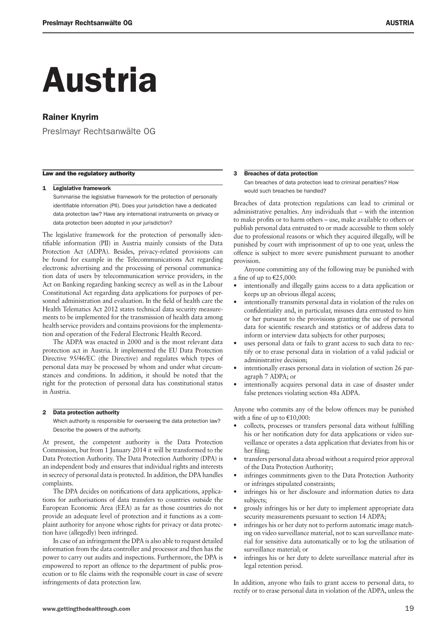## Austria

#### Rainer Knyrim

Preslmayr Rechtsanwälte OG

#### Law and the regulatory authority

#### 1 Legislative framework

Summarise the legislative framework for the protection of personally identifiable information (PII). Does your jurisdiction have a dedicated data protection law? Have any international instruments on privacy or data protection been adopted in your jurisdiction?

The legislative framework for the protection of personally identifiable information (PII) in Austria mainly consists of the Data Protection Act (ADPA). Besides, privacy-related provisions can be found for example in the Telecommunications Act regarding electronic advertising and the processing of personal communication data of users by telecommunication service providers, in the Act on Banking regarding banking secrecy as well as in the Labour Constitutional Act regarding data applications for purposes of personnel administration and evaluation. In the field of health care the Health Telematics Act 2012 states technical data security measurements to be implemented for the transmission of health data among health service providers and contains provisions for the implementation and operation of the Federal Electronic Health Record.

The ADPA was enacted in 2000 and is the most relevant data protection act in Austria. It implemented the EU Data Protection Directive 95/46/EC (the Directive) and regulates which types of personal data may be processed by whom and under what circumstances and conditions. In addition, it should be noted that the right for the protection of personal data has constitutional status in Austria.

#### 2 Data protection authority

Which authority is responsible for overseeing the data protection law? Describe the powers of the authority.

At present, the competent authority is the Data Protection Commission, but from 1 January 2014 it will be transformed to the Data Protection Authority. The Data Protection Authority (DPA) is an independent body and ensures that individual rights and interests in secrecy of personal data is protected. In addition, the DPA handles complaints.

The DPA decides on notifications of data applications, applications for authorisations of data transfers to countries outside the European Economic Area (EEA) as far as those countries do not provide an adequate level of protection and it functions as a complaint authority for anyone whose rights for privacy or data protection have (allegedly) been infringed.

In case of an infringement the DPA is also able to request detailed information from the data controller and processor and then has the power to carry out audits and inspections. Furthermore, the DPA is empowered to report an offence to the department of public prosecution or to file claims with the responsible court in case of severe infringements of data protection law.

#### 3 Breaches of data protection

Can breaches of data protection lead to criminal penalties? How would such breaches be handled?

Breaches of data protection regulations can lead to criminal or administrative penalties. Any individuals that – with the intention to make profits or to harm others – use, make available to others or publish personal data entrusted to or made accessible to them solely due to professional reasons or which they acquired illegally, will be punished by court with imprisonment of up to one year, unless the offence is subject to more severe punishment pursuant to another provision.

Anyone committing any of the following may be punished with a fine of up to  $\text{\textsterling}25,000$ :

- intentionally and illegally gains access to a data application or keeps up an obvious illegal access;
- intentionally transmits personal data in violation of the rules on confidentiality and, in particular, misuses data entrusted to him or her pursuant to the provisions granting the use of personal data for scientific research and statistics or of address data to inform or interview data subjects for other purposes;
- uses personal data or fails to grant access to such data to rectify or to erase personal data in violation of a valid judicial or administrative decision;
- intentionally erases personal data in violation of section 26 paragraph 7 ADPA; or
- intentionally acquires personal data in case of disaster under false pretences violating section 48a ADPA.

Anyone who commits any of the below offences may be punished with a fine of up to  $£10,000$ :

- collects, processes or transfers personal data without fulfilling his or her notification duty for data applications or video surveillance or operates a data application that deviates from his or her filing;
- transfers personal data abroad without a required prior approval of the Data Protection Authority;
- infringes commitments given to the Data Protection Authority or infringes stipulated constraints;
- infringes his or her disclosure and information duties to data subjects;
- grossly infringes his or her duty to implement appropriate data security measurements pursuant to section 14 ADPA;
- infringes his or her duty not to perform automatic image matching on video surveillance material, not to scan surveillance material for sensitive data automatically or to log the utilisation of surveillance material; or
- infringes his or her duty to delete surveillance material after its legal retention period.

In addition, anyone who fails to grant access to personal data, to rectify or to erase personal data in violation of the ADPA, unless the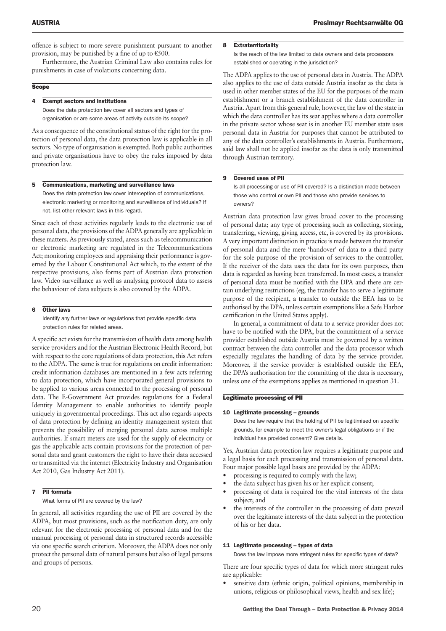offence is subject to more severe punishment pursuant to another provision, may be punished by a fine of up to  $\epsilon$ 500.

Furthermore, the Austrian Criminal Law also contains rules for punishments in case of violations concerning data.

#### **Scope**

#### 4 Exempt sectors and institutions

Does the data protection law cover all sectors and types of organisation or are some areas of activity outside its scope?

As a consequence of the constitutional status of the right for the protection of personal data, the data protection law is applicable in all sectors. No type of organisation is exempted. Both public authorities and private organisations have to obey the rules imposed by data protection law.

#### 5 Communications, marketing and surveillance laws

Does the data protection law cover interception of communications, electronic marketing or monitoring and surveillance of individuals? If not, list other relevant laws in this regard.

Since each of these activities regularly leads to the electronic use of personal data, the provisions of the ADPA generally are applicable in these matters. As previously stated, areas such as telecommunication or electronic marketing are regulated in the Telecommunications Act; monitoring employees and appraising their performance is governed by the Labour Constitutional Act which, to the extent of the respective provisions, also forms part of Austrian data protection law. Video surveillance as well as analysing protocol data to assess the behaviour of data subjects is also covered by the ADPA.

#### 6 Other laws

Identify any further laws or regulations that provide specific data protection rules for related areas.

A specific act exists for the transmission of health data among health service providers and for the Austrian Electronic Health Record, but with respect to the core regulations of data protection, this Act refers to the ADPA. The same is true for regulations on credit information: credit information databases are mentioned in a few acts referring to data protection, which have incorporated general provisions to be applied to various areas connected to the processing of personal data. The E-Government Act provides regulations for a Federal Identity Management to enable authorities to identify people uniquely in governmental proceedings. This act also regards aspects of data protection by defining an identity management system that prevents the possibility of merging personal data across multiple authorities. If smart meters are used for the supply of electricity or gas the applicable acts contain provisions for the protection of personal data and grant customers the right to have their data accessed or transmitted via the internet (Electricity Industry and Organisation Act 2010, Gas Industry Act 2011).

#### 7 PII formats

What forms of PII are covered by the law?

In general, all activities regarding the use of PII are covered by the ADPA, but most provisions, such as the notification duty, are only relevant for the electronic processing of personal data and for the manual processing of personal data in structured records accessible via one specific search criterion. Moreover, the ADPA does not only protect the personal data of natural persons but also of legal persons and groups of persons.

#### 8 Extraterritoriality

Is the reach of the law limited to data owners and data processors established or operating in the jurisdiction?

The ADPA applies to the use of personal data in Austria. The ADPA also applies to the use of data outside Austria insofar as the data is used in other member states of the EU for the purposes of the main establishment or a branch establishment of the data controller in Austria. Apart from this general rule, however, the law of the state in which the data controller has its seat applies where a data controller in the private sector whose seat is in another EU member state uses personal data in Austria for purposes that cannot be attributed to any of the data controller's establishments in Austria. Furthermore, said law shall not be applied insofar as the data is only transmitted through Austrian territory.

#### 9 Covered uses of PII

Is all processing or use of PII covered? Is a distinction made between those who control or own PII and those who provide services to owners?

Austrian data protection law gives broad cover to the processing of personal data; any type of processing such as collecting, storing, transferring, viewing, giving access, etc, is covered by its provisions. A very important distinction in practice is made between the transfer of personal data and the mere 'handover' of data to a third party for the sole purpose of the provision of services to the controller. If the receiver of the data uses the data for its own purposes, then data is regarded as having been transferred. In most cases, a transfer of personal data must be notified with the DPA and there are certain underlying restrictions (eg, the transfer has to serve a legitimate purpose of the recipient, a transfer to outside the EEA has to be authorised by the DPA, unless certain exemptions like a Safe Harbor certification in the United States apply).

In general, a commitment of data to a service provider does not have to be notified with the DPA, but the commitment of a service provider established outside Austria must be governed by a written contract between the data controller and the data processor which especially regulates the handling of data by the service provider. Moreover, if the service provider is established outside the EEA, the DPA's authorisation for the committing of the data is necessary, unless one of the exemptions applies as mentioned in question 31.

#### Legitimate processing of PII

#### 10 Legitimate processing – grounds

Does the law require that the holding of PII be legitimised on specific grounds, for example to meet the owner's legal obligations or if the individual has provided consent? Give details.

Yes, Austrian data protection law requires a legitimate purpose and a legal basis for each processing and transmission of personal data. Four major possible legal bases are provided by the ADPA:

- processing is required to comply with the law;
- the data subject has given his or her explicit consent;
- processing of data is required for the vital interests of the data subject; and
- the interests of the controller in the processing of data prevail over the legitimate interests of the data subject in the protection of his or her data.

#### 11 Legitimate processing – types of data

Does the law impose more stringent rules for specific types of data?

There are four specific types of data for which more stringent rules are applicable:

sensitive data (ethnic origin, political opinions, membership in unions, religious or philosophical views, health and sex life);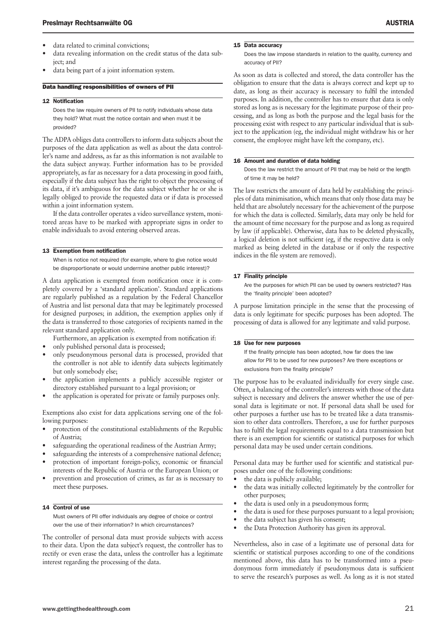- data revealing information on the credit status of the data subject; and
- data being part of a joint information system.

#### Data handling responsibilities of owners of PII

#### 12 Notification

Does the law require owners of PII to notify individuals whose data they hold? What must the notice contain and when must it be provided?

The ADPA obliges data controllers to inform data subjects about the purposes of the data application as well as about the data controller's name and address, as far as this information is not available to the data subject anyway. Further information has to be provided appropriately, as far as necessary for a data processing in good faith, especially if the data subject has the right to object the processing of its data, if it's ambiguous for the data subject whether he or she is legally obliged to provide the requested data or if data is processed within a joint information system.

If the data controller operates a video surveillance system, monitored areas have to be marked with appropriate signs in order to enable individuals to avoid entering observed areas.

#### 13 Exemption from notification

When is notice not required (for example, where to give notice would be disproportionate or would undermine another public interest)?

A data application is exempted from notification once it is completely covered by a 'standard application'. Standard applications are regularly published as a regulation by the Federal Chancellor of Austria and list personal data that may be legitimately processed for designed purposes; in addition, the exemption applies only if the data is transferred to those categories of recipients named in the relevant standard application only.

Furthermore, an application is exempted from notification if:

- only published personal data is processed;
- only pseudonymous personal data is processed, provided that the controller is not able to identify data subjects legitimately but only somebody else;
- the application implements a publicly accessible register or directory established pursuant to a legal provision; or
- the application is operated for private or family purposes only.

Exemptions also exist for data applications serving one of the following purposes:

- protection of the constitutional establishments of the Republic of Austria;
- safeguarding the operational readiness of the Austrian Army;
- safeguarding the interests of a comprehensive national defence;
- protection of important foreign-policy, economic or financial interests of the Republic of Austria or the European Union; or
- prevention and prosecution of crimes, as far as is necessary to meet these purposes.

#### 14 Control of use

Must owners of PII offer individuals any degree of choice or control over the use of their information? In which circumstances?

The controller of personal data must provide subjects with access to their data. Upon the data subject's request, the controller has to rectify or even erase the data, unless the controller has a legitimate interest regarding the processing of the data.

#### 15 Data accuracy

Does the law impose standards in relation to the quality, currency and accuracy of PII?

As soon as data is collected and stored, the data controller has the obligation to ensure that the data is always correct and kept up to date, as long as their accuracy is necessary to fulfil the intended purposes. In addition, the controller has to ensure that data is only stored as long as is necessary for the legitimate purpose of their processing, and as long as both the purpose and the legal basis for the processing exist with respect to any particular individual that is subject to the application (eg, the individual might withdraw his or her consent, the employee might have left the company, etc).

#### 16 Amount and duration of data holding

Does the law restrict the amount of PII that may be held or the length of time it may be held?

The law restricts the amount of data held by establishing the principles of data minimisation, which means that only those data may be held that are absolutely necessary for the achievement of the purpose for which the data is collected. Similarly, data may only be held for the amount of time necessary for the purpose and as long as required by law (if applicable). Otherwise, data has to be deleted physically, a logical deletion is not sufficient (eg, if the respective data is only marked as being deleted in the database or if only the respective indices in the file system are removed).

#### 17 Finality principle

Are the purposes for which PII can be used by owners restricted? Has the 'finality principle' been adopted?

A purpose limitation principle in the sense that the processing of data is only legitimate for specific purposes has been adopted. The processing of data is allowed for any legitimate and valid purpose.

#### 18 Use for new purposes

If the finality principle has been adopted, how far does the law allow for PII to be used for new purposes? Are there exceptions or exclusions from the finality principle?

The purpose has to be evaluated individually for every single case. Often, a balancing of the controller's interests with those of the data subject is necessary and delivers the answer whether the use of personal data is legitimate or not. If personal data shall be used for other purposes a further use has to be treated like a data transmission to other data controllers. Therefore, a use for further purposes has to fulfil the legal requirements equal to a data transmission but there is an exemption for scientific or statistical purposes for which personal data may be used under certain conditions.

Personal data may be further used for scientific and statistical purposes under one of the following conditions:

- the data is publicly available;
- the data was initially collected legitimately by the controller for other purposes;
- the data is used only in a pseudonymous form;
- the data is used for these purposes pursuant to a legal provision;
- the data subject has given his consent;
- the Data Protection Authority has given its approval.

Nevertheless, also in case of a legitimate use of personal data for scientific or statistical purposes according to one of the conditions mentioned above, this data has to be transformed into a pseudonymous form immediately if pseudonymous data is sufficient to serve the research's purposes as well. As long as it is not stated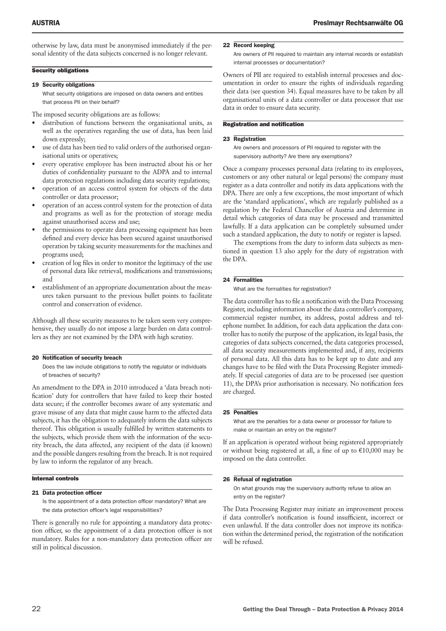otherwise by law, data must be anonymised immediately if the personal identity of the data subjects concerned is no longer relevant.

#### **Security obligations**

#### 19 Security obligations

What security obligations are imposed on data owners and entities that process PII on their behalf?

The imposed security obligations are as follows:

- distribution of functions between the organisational units, as well as the operatives regarding the use of data, has been laid down expressly;
- use of data has been tied to valid orders of the authorised organisational units or operatives;
- every operative employee has been instructed about his or her duties of confidentiality pursuant to the ADPA and to internal data protection regulations including data security regulations;
- operation of an access control system for objects of the data controller or data processor;
- operation of an access control system for the protection of data and programs as well as for the protection of storage media against unauthorised access and use;
- the permissions to operate data processing equipment has been defined and every device has been secured against unauthorised operation by taking security measurements for the machines and programs used;
- creation of log files in order to monitor the legitimacy of the use of personal data like retrieval, modifications and transmissions; and
- establishment of an appropriate documentation about the measures taken pursuant to the previous bullet points to facilitate control and conservation of evidence.

Although all these security measures to be taken seem very comprehensive, they usually do not impose a large burden on data controllers as they are not examined by the DPA with high scrutiny.

#### 20 Notification of security breach

Does the law include obligations to notify the regulator or individuals of breaches of security?

An amendment to the DPA in 2010 introduced a 'data breach notification' duty for controllers that have failed to keep their hosted data secure; if the controller becomes aware of any systematic and grave misuse of any data that might cause harm to the affected data subjects, it has the obligation to adequately inform the data subjects thereof. This obligation is usually fulfilled by written statements to the subjects, which provide them with the information of the security breach, the data affected, any recipient of the data (if known) and the possible dangers resulting from the breach. It is not required by law to inform the regulator of any breach.

#### Internal controls

#### 21 Data protection officer

Is the appointment of a data protection officer mandatory? What are the data protection officer's legal responsibilities?

There is generally no rule for appointing a mandatory data protection officer, so the appointment of a data protection officer is not mandatory. Rules for a non-mandatory data protection officer are still in political discussion.

#### 22 Record keeping

Are owners of PII required to maintain any internal records or establish internal processes or documentation?

Owners of PII are required to establish internal processes and documentation in order to ensure the rights of individuals regarding their data (see question 34). Equal measures have to be taken by all organisational units of a data controller or data processor that use data in order to ensure data security.

#### Registration and notification

#### 23 Registration

Are owners and processors of PII required to register with the supervisory authority? Are there any exemptions?

Once a company processes personal data (relating to its employees, customers or any other natural or legal persons) the company must register as a data controller and notify its data applications with the DPA. There are only a few exceptions, the most important of which are the 'standard applications', which are regularly published as a regulation by the Federal Chancellor of Austria and determine in detail which categories of data may be processed and transmitted lawfully. If a data application can be completely subsumed under such a standard application, the duty to notify or register is lapsed.

The exemptions from the duty to inform data subjects as mentioned in question 13 also apply for the duty of registration with the DPA.

#### 24 Formalities

What are the formalities for registration?

The data controller has to file a notification with the Data Processing Register, including information about the data controller's company, commercial register number, its address, postal address and telephone number. In addition, for each data application the data controller has to notify the purpose of the application, its legal basis, the categories of data subjects concerned, the data categories processed, all data security measurements implemented and, if any, recipients of personal data. All this data has to be kept up to date and any changes have to be filed with the Data Processing Register immediately. If special categories of data are to be processed (see question 11), the DPA's prior authorisation is necessary. No notification fees are charged.

#### 25 Penalties

What are the penalties for a data owner or processor for failure to make or maintain an entry on the register?

If an application is operated without being registered appropriately or without being registered at all, a fine of up to €10,000 may be imposed on the data controller.

#### 26 Refusal of registration

On what grounds may the supervisory authority refuse to allow an entry on the register?

The Data Processing Register may initiate an improvement process if data controller's notification is found insufficient, incorrect or even unlawful. If the data controller does not improve its notification within the determined period, the registration of the notification will be refused.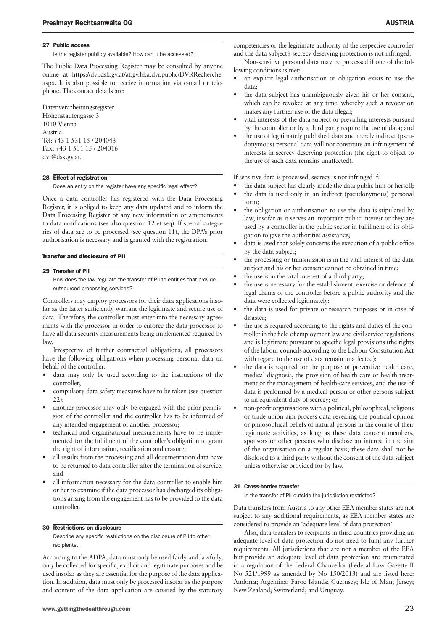#### 27 Public access

Is the register publicly available? How can it be accessed?

The Public Data Processing Register may be consulted by anyone online at https://dvr.dsk.gv.at/at.gv.bka.dvr.public/DVRRecherche. aspx. It is also possible to receive information via e-mail or telephone. The contact details are:

Datenverarbeitungsregister Hohenstaufengasse 3 1010 Vienna Austria Tel: +43 1 531 15 / 204043 Fax: +43 1 531 15 / 204016 dvr@dsk.gv.at.

#### 28 Effect of registration

Does an entry on the register have any specific legal effect?

Once a data controller has registered with the Data Processing Register, it is obliged to keep any data updated and to inform the Data Processing Register of any new information or amendments to data notifications (see also question 12 et seq). If special categories of data are to be processed (see question 11), the DPA's prior authorisation is necessary and is granted with the registration.

#### Transfer and disclosure of PII

#### 29 Transfer of PII

How does the law regulate the transfer of PII to entities that provide outsourced processing services?

Controllers may employ processors for their data applications insofar as the latter sufficiently warrant the legitimate and secure use of data. Therefore, the controller must enter into the necessary agreements with the processor in order to enforce the data processor to have all data security measurements being implemented required by law.

Irrespective of further contractual obligations, all processors have the following obligations when processing personal data on behalf of the controller:

- data may only be used according to the instructions of the controller;
- compulsory data safety measures have to be taken (see question 22);
- another processor may only be engaged with the prior permission of the controller and the controller has to be informed of any intended engagement of another processor;
- technical and organisational measurements have to be implemented for the fulfilment of the controller's obligation to grant the right of information, rectification and erasure;
- all results from the processing and all documentation data have to be returned to data controller after the termination of service; and
- all information necessary for the data controller to enable him or her to examine if the data processor has discharged its obligations arising from the engagement has to be provided to the data controller.

#### 30 Restrictions on disclosure

Describe any specific restrictions on the disclosure of PII to other recipients.

According to the ADPA, data must only be used fairly and lawfully, only be collected for specific, explicit and legitimate purposes and be used insofar as they are essential for the purpose of the data application. In addition, data must only be processed insofar as the purpose and content of the data application are covered by the statutory competencies or the legitimate authority of the respective controller and the data subject's secrecy deserving protection is not infringed.

Non-sensitive personal data may be processed if one of the following conditions is met:

- an explicit legal authorisation or obligation exists to use the data;
- the data subject has unambiguously given his or her consent, which can be revoked at any time, whereby such a revocation makes any further use of the data illegal;
- vital interests of the data subject or prevailing interests pursued by the controller or by a third party require the use of data; and
- the use of legitimately published data and merely indirect (pseudonymous) personal data will not constitute an infringement of interests in secrecy deserving protection (the right to object to the use of such data remains unaffected).

If sensitive data is processed, secrecy is not infringed if:

- the data subject has clearly made the data public him or herself;
- the data is used only in an indirect (pseudonymous) personal form;
- the obligation or authorisation to use the data is stipulated by law, insofar as it serves an important public interest or they are used by a controller in the public sector in fulfilment of its obligation to give the authorities assistance;
- data is used that solely concerns the execution of a public office by the data subject;
- the processing or transmission is in the vital interest of the data subject and his or her consent cannot be obtained in time;
- the use is in the vital interest of a third party;
- the use is necessary for the establishment, exercise or defence of legal claims of the controller before a public authority and the data were collected legitimately;
- the data is used for private or research purposes or in case of disaster;
- the use is required according to the rights and duties of the controller in the field of employment law and civil service regulations and is legitimate pursuant to specific legal provisions (the rights of the labour councils according to the Labour Constitution Act with regard to the use of data remain unaffected);
- the data is required for the purpose of preventive health care, medical diagnosis, the provision of health care or health treatment or the management of health-care services, and the use of data is performed by a medical person or other persons subject to an equivalent duty of secrecy; or
- non-profit organisations with a political, philosophical, religious or trade union aim process data revealing the political opinion or philosophical beliefs of natural persons in the course of their legitimate activities, as long as these data concern members, sponsors or other persons who disclose an interest in the aim of the organisation on a regular basis; these data shall not be disclosed to a third party without the consent of the data subject unless otherwise provided for by law.

#### 31 Cross-border transfer

Is the transfer of PII outside the jurisdiction restricted?

Data transfers from Austria to any other EEA member states are not subject to any additional requirements, as EEA member states are considered to provide an 'adequate level of data protection'.

Also, data transfers to recipients in third countries providing an adequate level of data protection do not need to fulfil any further requirements. All jurisdictions that are not a member of the EEA but provide an adequate level of data protection are enumerated in a regulation of the Federal Chancellor (Federal Law Gazette II No 521/1999 as amended by No 150/2013) and are listed here: Andorra; Argentina; Faroe Islands; Guernsey; Isle of Man; Jersey; New Zealand; Switzerland; and Uruguay.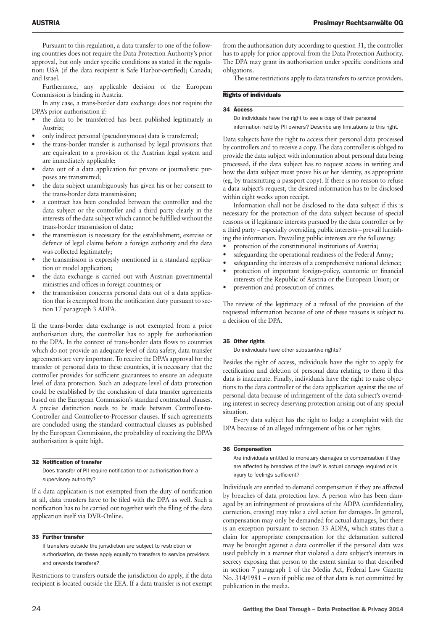Pursuant to this regulation, a data transfer to one of the following countries does not require the Data Protection Authority's prior approval, but only under specific conditions as stated in the regulation: USA (if the data recipient is Safe Harbor-certified); Canada; and Israel.

Furthermore, any applicable decision of the European Commission is binding in Austria.

In any case, a trans-border data exchange does not require the DPA's prior authorisation if:

- the data to be transferred has been published legitimately in Austria;
- only indirect personal (pseudonymous) data is transferred;
- the trans-border transfer is authorised by legal provisions that are equivalent to a provision of the Austrian legal system and are immediately applicable;
- data out of a data application for private or journalistic purposes are transmitted;
- the data subject unambiguously has given his or her consent to the trans-border data transmission;
- a contract has been concluded between the controller and the data subject or the controller and a third party clearly in the interests of the data subject which cannot be fulfilled without the trans-border transmission of data;
- the transmission is necessary for the establishment, exercise or defence of legal claims before a foreign authority and the data was collected legitimately;
- the transmission is expressly mentioned in a standard application or model application;
- the data exchange is carried out with Austrian governmental ministries and offices in foreign countries; or
- the transmission concerns personal data out of a data application that is exempted from the notification duty pursuant to section 17 paragraph 3 ADPA.

If the trans-border data exchange is not exempted from a prior authorisation duty, the controller has to apply for authorisation to the DPA. In the context of trans-border data flows to countries which do not provide an adequate level of data safety, data transfer agreements are very important. To receive the DPA's approval for the transfer of personal data to these countries, it is necessary that the controller provides for sufficient guarantees to ensure an adequate level of data protection. Such an adequate level of data protection could be established by the conclusion of data transfer agreements based on the European Commission's standard contractual clauses. A precise distinction needs to be made between Controller-to-Controller and Controller-to-Processor clauses. If such agreements are concluded using the standard contractual clauses as published by the European Commission, the probability of receiving the DPA's authorisation is quite high.

#### 32 Notification of transfer

Does transfer of PII require notification to or authorisation from a supervisory authority?

If a data application is not exempted from the duty of notification at all, data transfers have to be filed with the DPA as well. Such a notification has to be carried out together with the filing of the data application itself via DVR-Online.

#### 33 Further transfer

If transfers outside the jurisdiction are subject to restriction or authorisation, do these apply equally to transfers to service providers and onwards transfers?

Restrictions to transfers outside the jurisdiction do apply, if the data recipient is located outside the EEA. If a data transfer is not exempt

from the authorisation duty according to question 31, the controller has to apply for prior approval from the Data Protection Authority. The DPA may grant its authorisation under specific conditions and obligations.

The same restrictions apply to data transfers to service providers.

#### Rights of individuals

#### 34 Access

Do individuals have the right to see a copy of their personal information held by PII owners? Describe any limitations to this right.

Data subjects have the right to access their personal data processed by controllers and to receive a copy. The data controller is obliged to provide the data subject with information about personal data being processed, if the data subject has to request access in writing and how the data subject must prove his or her identity, as appropriate (eg, by transmitting a passport copy). If there is no reason to refuse a data subject's request, the desired information has to be disclosed within eight weeks upon receipt.

Information shall not be disclosed to the data subject if this is necessary for the protection of the data subject because of special reasons or if legitimate interests pursued by the data controller or by a third party – especially overriding public interests – prevail furnishing the information. Prevailing public interests are the following:

- protection of the constitutional institutions of Austria;
- safeguarding the operational readiness of the Federal Army;
- safeguarding the interests of a comprehensive national defence;
- protection of important foreign-policy, economic or financial interests of the Republic of Austria or the European Union; or
- prevention and prosecution of crimes.

The review of the legitimacy of a refusal of the provision of the requested information because of one of these reasons is subject to a decision of the DPA.

#### 35 Other rights

Do individuals have other substantive rights?

Besides the right of access, individuals have the right to apply for rectification and deletion of personal data relating to them if this data is inaccurate. Finally, individuals have the right to raise objections to the data controller of the data application against the use of personal data because of infringement of the data subject's overriding interest in secrecy deserving protection arising out of any special situation.

Every data subject has the right to lodge a complaint with the DPA because of an alleged infringement of his or her rights.

#### 36 Compensation

Are individuals entitled to monetary damages or compensation if they are affected by breaches of the law? Is actual damage required or is injury to feelings sufficient?

Individuals are entitled to demand compensation if they are affected by breaches of data protection law. A person who has been damaged by an infringement of provisions of the ADPA (confidentiality, correction, erasing) may take a civil action for damages. In general, compensation may only be demanded for actual damages, but there is an exception pursuant to section 33 ADPA, which states that a claim for appropriate compensation for the defamation suffered may be brought against a data controller if the personal data was used publicly in a manner that violated a data subject's interests in secrecy exposing that person to the extent similar to that described in section 7 paragraph 1 of the Media Act, Federal Law Gazette No. 314/1981 – even if public use of that data is not committed by publication in the media.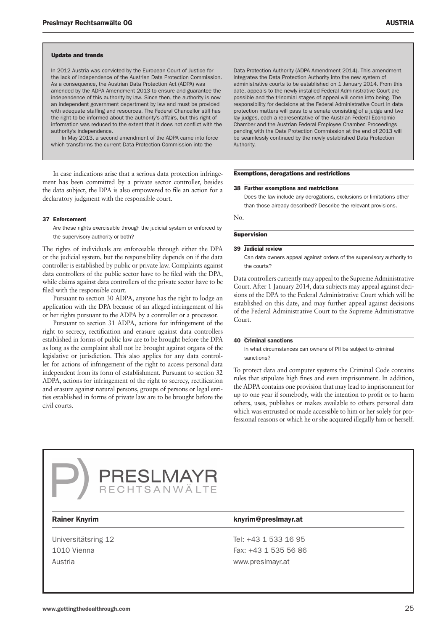#### Update and trends

In 2012 Austria was convicted by the European Court of Justice for the lack of independence of the Austrian Data Protection Commission. As a consequence, the Austrian Data Protection Act (ADPA) was amended by the ADPA Amendment 2013 to ensure and guarantee the independence of this authority by law. Since then, the authority is now an independent government department by law and must be provided with adequate staffing and resources. The Federal Chancellor still has the right to be informed about the authority's affairs, but this right of information was reduced to the extent that it does not conflict with the authority's independence.

In May 2013, a second amendment of the ADPA came into force which transforms the current Data Protection Commission into the

In case indications arise that a serious data protection infringement has been committed by a private sector controller, besides the data subject, the DPA is also empowered to file an action for a declaratory judgment with the responsible court.

#### 37 Enforcement

Are these rights exercisable through the judicial system or enforced by the supervisory authority or both?

The rights of individuals are enforceable through either the DPA or the judicial system, but the responsibility depends on if the data controller is established by public or private law. Complaints against data controllers of the public sector have to be filed with the DPA, while claims against data controllers of the private sector have to be filed with the responsible court.

Pursuant to section 30 ADPA, anyone has the right to lodge an application with the DPA because of an alleged infringement of his or her rights pursuant to the ADPA by a controller or a processor.

Pursuant to section 31 ADPA, actions for infringement of the right to secrecy, rectification and erasure against data controllers established in forms of public law are to be brought before the DPA as long as the complaint shall not be brought against organs of the legislative or jurisdiction. This also applies for any data controller for actions of infringement of the right to access personal data independent from its form of establishment. Pursuant to section 32 ADPA, actions for infringement of the right to secrecy, rectification and erasure against natural persons, groups of persons or legal entities established in forms of private law are to be brought before the civil courts.

Data Protection Authority (ADPA Amendment 2014). This amendment integrates the Data Protection Authority into the new system of administrative courts to be established on 1 January 2014. From this date, appeals to the newly installed Federal Administrative Court are possible and the trinomial stages of appeal will come into being. The responsibility for decisions at the Federal Administrative Court in data protection matters will pass to a senate consisting of a judge and two lay judges, each a representative of the Austrian Federal Economic Chamber and the Austrian Federal Employee Chamber. Proceedings pending with the Data Protection Commission at the end of 2013 will be seamlessly continued by the newly established Data Protection Authority.

#### Exemptions, derogations and restrictions

#### 38 Further exemptions and restrictions

Does the law include any derogations, exclusions or limitations other than those already described? Describe the relevant provisions.

No.

#### **Supervision**

#### 39 Judicial review

Can data owners appeal against orders of the supervisory authority to the courts?

Data controllers currently may appeal to the Supreme Administrative Court. After 1 January 2014, data subjects may appeal against decisions of the DPA to the Federal Administrative Court which will be established on this date, and may further appeal against decisions of the Federal Administrative Court to the Supreme Administrative Court.

#### 40 Criminal sanctions

In what circumstances can owners of PII be subject to criminal sanctions?

To protect data and computer systems the Criminal Code contains rules that stipulate high fines and even imprisonment. In addition, the ADPA contains one provision that may lead to imprisonment for up to one year if somebody, with the intention to profit or to harm others, uses, publishes or makes available to others personal data which was entrusted or made accessible to him or her solely for professional reasons or which he or she acquired illegally him or herself.

# PRESLMAYR<br>ECHTSANWÄLTE

Universitätsring 12 Tel: +43 1 533 16 95 Austria www.preslmayr.at

#### Rainer Knyrim **Knyrim Rainer Knyrim** knyrim@preslmayr.at

1010 Vienna **Fax: +43 1 535 56 86**